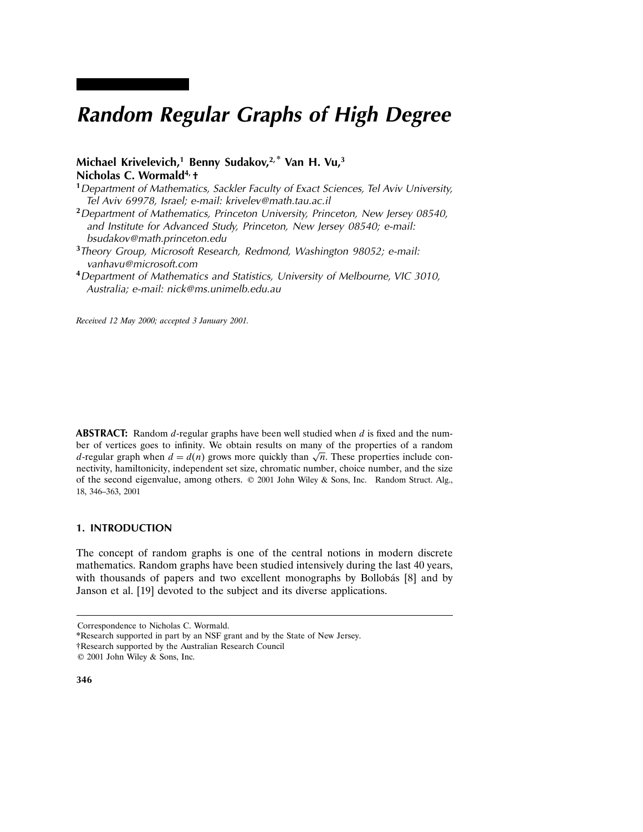# Random Regular Graphs of High Degree

## Michael Krivelevich,<sup>1</sup> Benny Sudakov,<sup>2,\*</sup> Van H. Vu,<sup>3</sup> Nicholas C. Wormald<sup>4,</sup> +

- <sup>1</sup> Department of Mathematics, Sackler Faculty of Exact Sciences, Tel Aviv University, Tel Aviv 69978, Israel; e-mail: krivelev@math.tau.ac.il
- <sup>2</sup> Department of Mathematics, Princeton University, Princeton, New Jersey 08540, and Institute for Advanced Study, Princeton, New Jersey 08540; e-mail: bsudakov@math.princeton.edu
- <sup>3</sup>Theory Group, Microsoft Research, Redmond, Washington 98052; e-mail: vanhavu@microsoft.com
- <sup>4</sup>Department of Mathematics and Statistics, University of Melbourne, VIC 3010, Australia; e-mail: nick@ms.unimelb.edu.au

Received 12 May 2000; accepted 3 January 2001.

**ABSTRACT:** Random  $d$ -regular graphs have been well studied when  $d$  is fixed and the number of vertices goes to infinity. We obtain results on many of the properties of a random d-regular graph when  $d = d(n)$  grows more quickly than  $\sqrt{n}$ . These properties include connectivity, hamiltonicity, independent set size, chromatic number, choice number, and the size of the second eigenvalue, among others. © 2001 John Wiley & Sons, Inc. Random Struct. Alg., 18, 346–363, 2001

## 1. INTRODUCTION

The concept of random graphs is one of the central notions in modern discrete mathematics. Random graphs have been studied intensively during the last 40 years, with thousands of papers and two excellent monographs by Bollobás [8] and by Janson et al. [19] devoted to the subject and its diverse applications.

†Research supported by the Australian Research Council

Correspondence to Nicholas C. Wormald.

<sup>\*</sup>Research supported in part by an NSF grant and by the State of New Jersey.

<sup>© 2001</sup> John Wiley & Sons, Inc.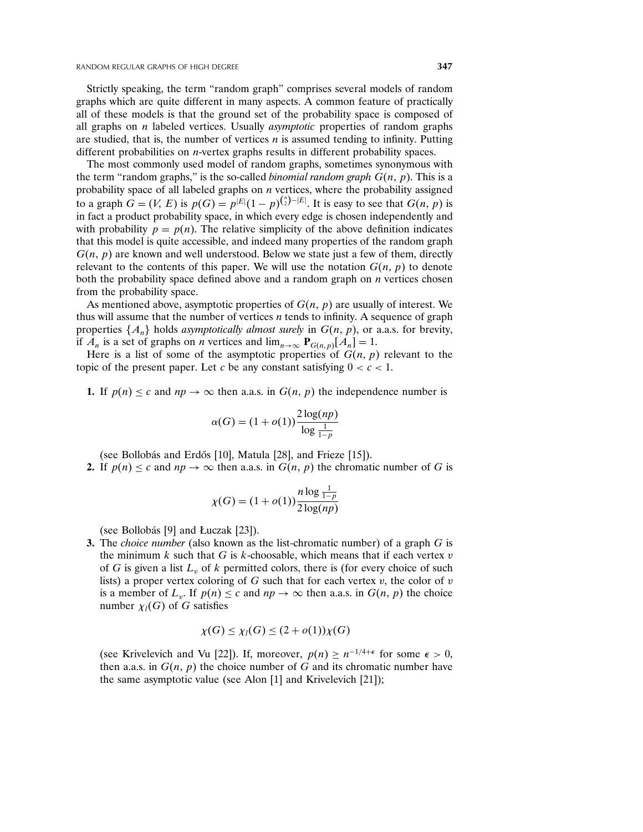Strictly speaking, the term "random graph" comprises several models of random graphs which are quite different in many aspects. A common feature of practically all of these models is that the ground set of the probability space is composed of all graphs on  $n$  labeled vertices. Usually *asymptotic* properties of random graphs are studied, that is, the number of vertices  $n$  is assumed tending to infinity. Putting different probabilities on n-vertex graphs results in different probability spaces.

The most commonly used model of random graphs, sometimes synonymous with the term "random graphs," is the so-called *binomial random graph*  $G(n, p)$ . This is a probability space of all labeled graphs on  $n$  vertices, where the probability assigned to a graph  $G = (V, E)$  is  $p(G) = p^{|E|}(1-p)^{{\binom{n}{2}}-|E|}$ . It is easy to see that  $G(n, p)$  is in fact a product probability space, in which every edge is chosen independently and with probability  $p = p(n)$ . The relative simplicity of the above definition indicates that this model is quite accessible, and indeed many properties of the random graph  $G(n, p)$  are known and well understood. Below we state just a few of them, directly relevant to the contents of this paper. We will use the notation  $G(n, p)$  to denote both the probability space defined above and a random graph on  $n$  vertices chosen from the probability space.

As mentioned above, asymptotic properties of  $G(n, p)$  are usually of interest. We thus will assume that the number of vertices  $n$  tends to infinity. A sequence of graph properties  $\{A_n\}$  holds asymptotically almost surely in  $G(n, p)$ , or a.a.s. for brevity, if  $A_n$  is a set of graphs on *n* vertices and  $\lim_{n\to\infty} P_{G(n,p)}[A_n] = 1$ .

Here is a list of some of the asymptotic properties of  $G(n, p)$  relevant to the topic of the present paper. Let c be any constant satisfying  $0 < c < 1$ .

**1.** If  $p(n) \leq c$  and  $np \to \infty$  then a.a.s. in  $G(n, p)$  the independence number is

$$
\alpha(G) = (1 + o(1)) \frac{2 \log(np)}{\log \frac{1}{1-p}}
$$

(see Bollobás and Erdős [10], Matula [28], and Frieze [15]).

**2.** If  $p(n) \leq c$  and  $np \to \infty$  then a.a.s. in  $G(n, p)$  the chromatic number of G is

$$
\chi(G) = (1 + o(1)) \frac{n \log \frac{1}{1 - p}}{2 \log(np)}
$$

(see Bollobás [9] and Łuczak [23]).

3. The *choice number* (also known as the list-chromatic number) of a graph  $G$  is the minimum  $k$  such that  $G$  is  $k$ -choosable, which means that if each vertex  $v$ of G is given a list  $L<sub>v</sub>$  of k permitted colors, there is (for every choice of such lists) a proper vertex coloring of  $G$  such that for each vertex  $v$ , the color of  $v$ is a member of  $L_v$ . If  $p(n) \le c$  and  $np \to \infty$  then a.a.s. in  $G(n, p)$  the choice number  $\chi_l(G)$  of G satisfies

$$
\chi(G) \leq \chi_l(G) \leq (2 + o(1))\chi(G)
$$

(see Krivelevich and Vu [22]). If, moreover,  $p(n) \ge n^{-1/4+\epsilon}$  for some  $\epsilon > 0$ , then a.a.s. in  $G(n, p)$  the choice number of G and its chromatic number have the same asymptotic value (see Alon [1] and Krivelevich [21]);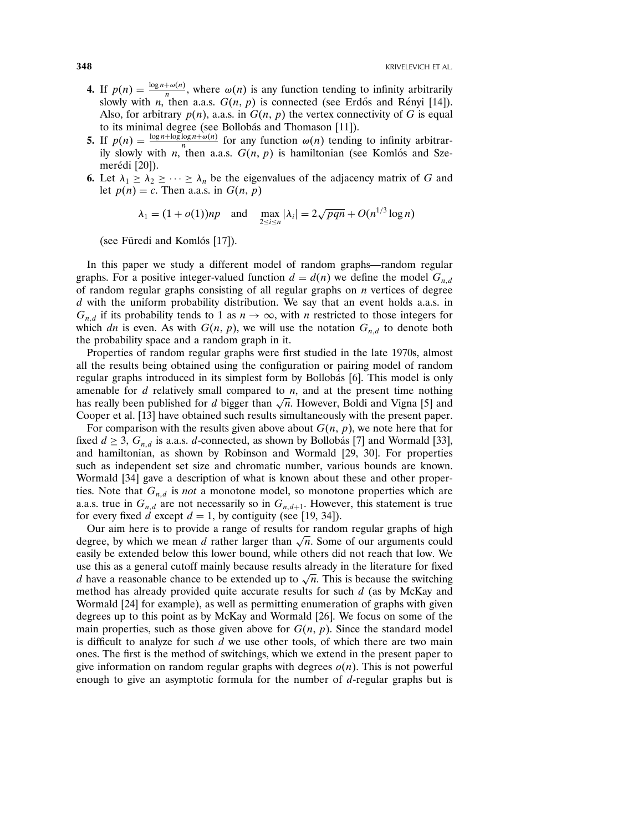- 4. If  $p(n) = \frac{\log n + \omega(n)}{n}$ , where  $\omega(n)$  is any function tending to infinity arbitrarily slowly with *n*, then a.a.s.  $G(n, p)$  is connected (see Erdős and Rényi [14]). Also, for arbitrary  $p(n)$ , a.a.s. in  $G(n, p)$  the vertex connectivity of G is equal to its minimal degree (see Bollobás and Thomason [11]).
- **5.** If  $p(n) = \frac{\log n + \log \log n + \omega(n)}{n}$  for any function  $\omega(n)$  tending to infinity arbitrarily slowly with *n*, then a.a.s.  $G(n, p)$  is hamiltonian (see Komlós and Szemerédi [20]).
- 6. Let  $\lambda_1 \geq \lambda_2 \geq \cdots \geq \lambda_n$  be the eigenvalues of the adjacency matrix of G and let  $p(n) = c$ . Then a.a.s. in  $G(n, p)$

$$
\lambda_1 = (1 + o(1))np
$$
 and  $\max_{2 \le i \le n} |\lambda_i| = 2\sqrt{pqn} + O(n^{1/3} \log n)$ 

(see Füredi and Komlós  $[17]$ ).

In this paper we study a different model of random graphs—random regular graphs. For a positive integer-valued function  $d = d(n)$  we define the model  $G_{n,d}$ of random regular graphs consisting of all regular graphs on  $n$  vertices of degree  $d$  with the uniform probability distribution. We say that an event holds a.a.s. in  $G_{n,d}$  if its probability tends to 1 as  $n \to \infty$ , with n restricted to those integers for which dn is even. As with  $G(n, p)$ , we will use the notation  $G_{n,d}$  to denote both the probability space and a random graph in it.

Properties of random regular graphs were first studied in the late 1970s, almost all the results being obtained using the configuration or pairing model of random regular graphs introduced in its simplest form by Bollobás [6]. This model is only amenable for  $d$  relatively small compared to  $n$ , and at the present time nothing has really been published for d bigger than  $\sqrt{n}$ . However, Boldi and Vigna [5] and Cooper et al. [13] have obtained such results simultaneously with the present paper.

For comparison with the results given above about  $G(n, p)$ , we note here that for fixed  $d \geq 3$ ,  $G_{n,d}$  is a.a.s. d-connected, as shown by Bollobás [7] and Wormald [33], and hamiltonian, as shown by Robinson and Wormald [29, 30]. For properties such as independent set size and chromatic number, various bounds are known. Wormald [34] gave a description of what is known about these and other properties. Note that  $G_{n,d}$  is *not* a monotone model, so monotone properties which are a.a.s. true in  $G_{n,d}$  are not necessarily so in  $G_{n,d+1}$ . However, this statement is true for every fixed d except  $d = 1$ , by contiguity (see [19, 34]).

Our aim here is to provide a range of results for random regular graphs of high degree, by which we mean d rather larger than  $\sqrt{n}$ . Some of our arguments could easily be extended below this lower bound, while others did not reach that low. We use this as a general cutoff mainly because results already in the literature for fixed d have a reasonable chance to be extended up to  $\sqrt{n}$ . This is because the switching method has already provided quite accurate results for such  $d$  (as by McKay and Wormald [24] for example), as well as permitting enumeration of graphs with given degrees up to this point as by McKay and Wormald [26]. We focus on some of the main properties, such as those given above for  $G(n, p)$ . Since the standard model is difficult to analyze for such  $\overline{d}$  we use other tools, of which there are two main ones. The first is the method of switchings, which we extend in the present paper to give information on random regular graphs with degrees  $o(n)$ . This is not powerful enough to give an asymptotic formula for the number of d-regular graphs but is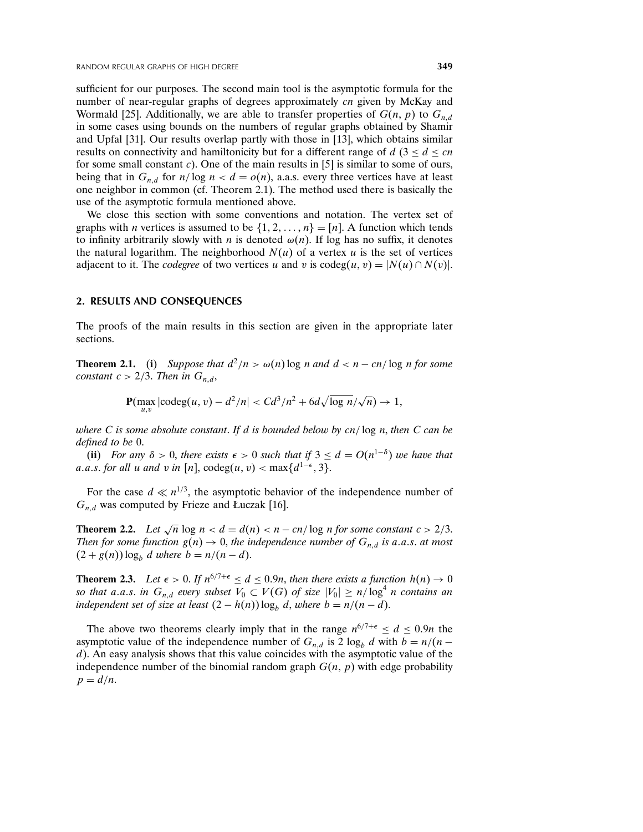sufficient for our purposes. The second main tool is the asymptotic formula for the number of near-regular graphs of degrees approximately cn given by McKay and Wormald [25]. Additionally, we are able to transfer properties of  $G(n, p)$  to  $G_{n,d}$ in some cases using bounds on the numbers of regular graphs obtained by Shamir and Upfal [31]. Our results overlap partly with those in [13], which obtains similar results on connectivity and hamiltonicity but for a different range of  $d$  (3  $\leq$  d  $\leq$  cn for some small constant  $c$ ). One of the main results in [5] is similar to some of ours, being that in  $G_{n,d}$  for  $n/\log n < d = o(n)$ , a.a.s. every three vertices have at least one neighbor in common (cf. Theorem 2.1). The method used there is basically the use of the asymptotic formula mentioned above.

We close this section with some conventions and notation. The vertex set of graphs with *n* vertices is assumed to be  $\{1, 2, ..., n\} = [n]$ . A function which tends to infinity arbitrarily slowly with *n* is denoted  $\omega(n)$ . If log has no suffix, it denotes the natural logarithm. The neighborhood  $N(u)$  of a vertex u is the set of vertices adjacent to it. The *codegree* of two vertices u and v is  $\text{codeg}(u, v) = |N(u) \cap N(v)|$ .

### 2. RESULTS AND CONSEQUENCES

The proofs of the main results in this section are given in the appropriate later sections.

**Theorem 2.1.** (i) Suppose that  $d^2/n > \omega(n) \log n$  and  $d < n - cn/\log n$  for some constant  $c > 2/3$ . Then in  $G_{n,d}$ ,

$$
\mathbf{P}(\max_{u,v} |\text{codeg}(u,v) - d^2/n| < C d^3/n^2 + 6d\sqrt{\log n}/\sqrt{n}) \to 1,
$$

where C is some absolute constant. If d is bounded below by  $cn/\log n$ , then C can be defined to be 0.

(ii) For any  $\delta > 0$ , there exists  $\epsilon > 0$  such that if  $3 \le d = O(n^{1-\delta})$  we have that a.a.s. for all u and v in [n],  $\text{codeg}(u, v) < \max\{d^{1-\epsilon}, 3\}.$ 

For the case  $d \ll n^{1/3}$ , the asymptotic behavior of the independence number of  $G_{n,d}$  was computed by Frieze and Łuczak [16].

**Theorem 2.2.** Let  $\sqrt{n} \log n < d = d(n) < n - cn/\log n$  for some constant  $c > 2/3$ . Then for some function  $g(n) \to 0$ , the independence number of  $G_{n,d}$  is a.a.s. at most  $(2 + g(n)) \log_b d$  where  $b = n/(n - d)$ .

**Theorem 2.3.** Let  $\epsilon > 0$ . If  $n^{6/7+\epsilon} \le d \le 0.9n$ , then there exists a function  $h(n) \to 0$ so that a.a.s. in  $G_{n,d}$  every subset  $V_0 \subset V(G)$  of size  $|V_0| \ge n/\log^4 n$  contains an independent set of size at least  $(2 - h(n)) \log_b d$ , where  $b = n/(n-d)$ .

The above two theorems clearly imply that in the range  $n^{6/7+\epsilon} \le d \le 0.9n$  the asymptotic value of the independence number of  $G_{n,d}$  is 2 log<sub>b</sub> d with  $b = n/(n$ d). An easy analysis shows that this value coincides with the asymptotic value of the independence number of the binomial random graph  $G(n, p)$  with edge probability  $p = d/n$ .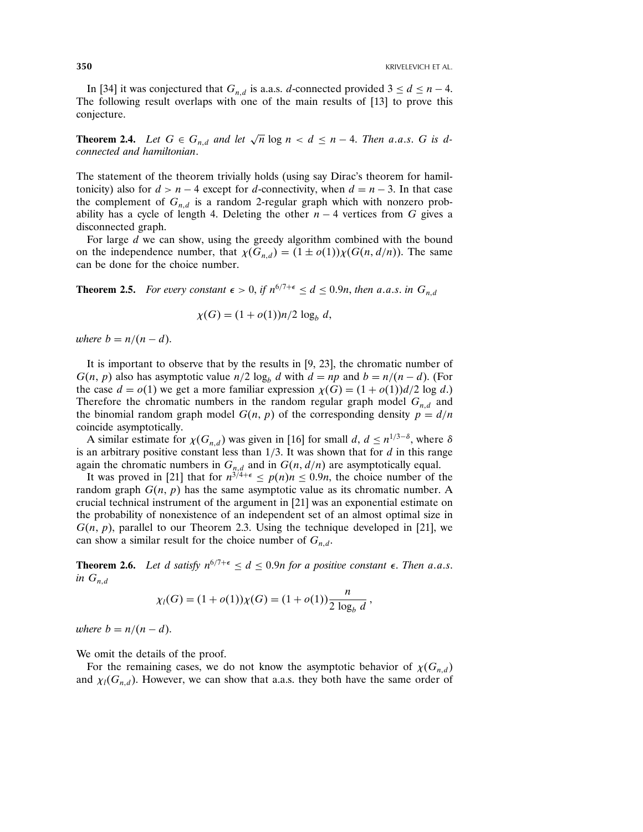In [34] it was conjectured that  $G_{n,d}$  is a.a.s. d-connected provided  $3 \leq d \leq n-4$ . The following result overlaps with one of the main results of [13] to prove this conjecture.

**Theorem 2.4.** Let  $G \in G_{n,d}$  and let  $\sqrt{n} \log n < d \le n-4$ . Then a.a.s. G is dconnected and hamiltonian.

The statement of the theorem trivially holds (using say Dirac's theorem for hamiltonicity) also for  $d > n - 4$  except for d-connectivity, when  $d = n - 3$ . In that case the complement of  $G_{n,d}$  is a random 2-regular graph which with nonzero probability has a cycle of length 4. Deleting the other  $n - 4$  vertices from G gives a disconnected graph.

For large d we can show, using the greedy algorithm combined with the bound on the independence number, that  $\chi(G_{n,d}) = (1 \pm o(1))\chi(G(n,d/n))$ . The same can be done for the choice number.

**Theorem 2.5.** For every constant  $\epsilon > 0$ , if  $n^{6/7+\epsilon} \le d \le 0.9n$ , then a.a.s. in  $G_{n,d}$ 

$$
\chi(G) = (1 + o(1))n/2 \log_b d,
$$

where  $b = n/(n - d)$ .

It is important to observe that by the results in [9, 23], the chromatic number of  $G(n, p)$  also has asymptotic value  $n/2 \log_b d$  with  $d = np$  and  $b = n/(n-d)$ . (For the case  $d = o(1)$  we get a more familiar expression  $\chi(G) = (1 + o(1))d/2 \log d$ . Therefore the chromatic numbers in the random regular graph model  $G_{n,d}$  and the binomial random graph model  $G(n, p)$  of the corresponding density  $p = d/n$ coincide asymptotically.

A similar estimate for  $\chi(G_{n,d})$  was given in [16] for small  $d, d \leq n^{1/3-\delta}$ , where  $\delta$ is an arbitrary positive constant less than  $1/3$ . It was shown that for  $d$  in this range again the chromatic numbers in  $G_{n,d}$  and in  $G(n, d/n)$  are asymptotically equal.

It was proved in [21] that for  $n^{3/4+\epsilon} \le p(n)n \le 0.9n$ , the choice number of the random graph  $G(n, p)$  has the same asymptotic value as its chromatic number. A crucial technical instrument of the argument in [21] was an exponential estimate on the probability of nonexistence of an independent set of an almost optimal size in  $G(n, p)$ , parallel to our Theorem 2.3. Using the technique developed in [21], we can show a similar result for the choice number of  $G_{n,d}$ .

**Theorem 2.6.** Let d satisfy  $n^{6/7+\epsilon} \leq d \leq 0.9n$  for a positive constant  $\epsilon$ . Then a.a.s. in  $G_{n,d}$ 

$$
\chi_l(G) = (1 + o(1))\chi(G) = (1 + o(1))\frac{n}{2 \log_b d},
$$

where  $b = n/(n - d)$ .

We omit the details of the proof.

For the remaining cases, we do not know the asymptotic behavior of  $\chi(G_{n,d})$ and  $\chi_l(G_{n,d})$ . However, we can show that a.a.s. they both have the same order of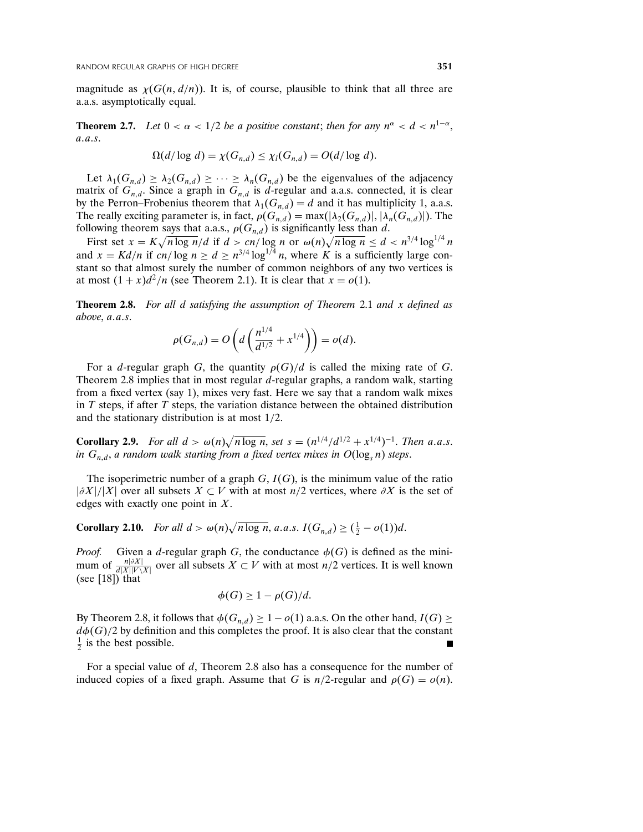magnitude as  $\chi(G(n, d/n))$ . It is, of course, plausible to think that all three are a.a.s. asymptotically equal.

**Theorem 2.7.** Let  $0 < \alpha < 1/2$  be a positive constant; then for any  $n^{\alpha} < d < n^{1-\alpha}$ ,  $a \, a \, s$ 

$$
\Omega(d/\log d) = \chi(G_{n,d}) \leq \chi_l(G_{n,d}) = O(d/\log d).
$$

Let  $\lambda_1(G_{n,d}) \geq \lambda_2(G_{n,d}) \geq \cdots \geq \lambda_n(G_{n,d})$  be the eigenvalues of the adjacency matrix of  $G_{n,d}$ . Since a graph in  $G_{n,d}$  is d-regular and a.a.s. connected, it is clear by the Perron–Frobenius theorem that  $\lambda_1(G_{n,d}) = d$  and it has multiplicity 1, a.a.s. The really exciting parameter is, in fact,  $\rho(G_{n,d}) = \max(|\lambda_2(G_{n,d})|, |\lambda_n(G_{n,d})|)$ . The following theorem says that a.a.s.,  $\rho(G_{n,d})$  is significantly less than d.

First set  $x = K\sqrt{n \log n}/d$  if  $d > cn/\log n$  or  $\omega(n)\sqrt{n \log n} \le d < n^{3/4} \log^{1/4} n$ and  $x = Kd/n$  if cn/log  $n \ge d \ge n^{3/4} \log^{1/4} n$ , where K is a sufficiently large constant so that almost surely the number of common neighbors of any two vertices is at most  $(1 + x)d^2/n$  (see Theorem 2.1). It is clear that  $x = o(1)$ .

**Theorem 2.8.** For all d satisfying the assumption of Theorem 2.1 and x defined as above,  $a.a.s.$ 

$$
\rho(G_{n,d}) = O\left(d\left(\frac{n^{1/4}}{d^{1/2}} + x^{1/4}\right)\right) = o(d).
$$

For a *d*-regular graph G, the quantity  $\rho(G)/d$  is called the mixing rate of G. Theorem 2.8 implies that in most regular d-regular graphs, a random walk, starting from a fixed vertex (say 1), mixes very fast. Here we say that a random walk mixes in  $T$  steps, if after  $T$  steps, the variation distance between the obtained distribution and the stationary distribution is at most 1/2.

**Corollary 2.9.** For all  $d > \omega(n)\sqrt{n \log n}$ , set  $s = (n^{1/4}/d^{1/2} + x^{1/4})^{-1}$ . Then a.a.s. in  $G_{n,d}$ , a random walk starting from a fixed vertex mixes in  $O(\log_s n)$  steps.

The isoperimetric number of a graph  $G, I(G)$ , is the minimum value of the ratio  $|\partial X|/|X|$  over all subsets  $X \subset V$  with at most n/2 vertices, where  $\partial X$  is the set of edges with exactly one point in X.

**Corollary 2.10.** For all  $d > \omega(n)\sqrt{n \log n}$ , a.a.s.  $I(G_{n,d}) \geq (\frac{1}{2} - o(1))d$ .

*Proof.* Given a d-regular graph G, the conductance  $\phi(G)$  is defined as the minimum of  $\frac{n|\partial X|}{\partial |X||V\setminus X|}$  over all subsets  $X \subset V$  with at most  $n/2$  vertices. It is well known (see [18]) that

$$
\phi(G) \geq 1 - \rho(G)/d.
$$

By Theorem 2.8, it follows that  $\phi(G_{n,d}) \geq 1 - o(1)$  a.a.s. On the other hand,  $I(G) \geq$  $d\phi(G)/2$  by definition and this completes the proof. It is also clear that the constant  $\frac{1}{2}$  is the best possible.

For a special value of d, Theorem 2.8 also has a consequence for the number of induced copies of a fixed graph. Assume that G is  $n/2$ -regular and  $\rho(G) = o(n)$ .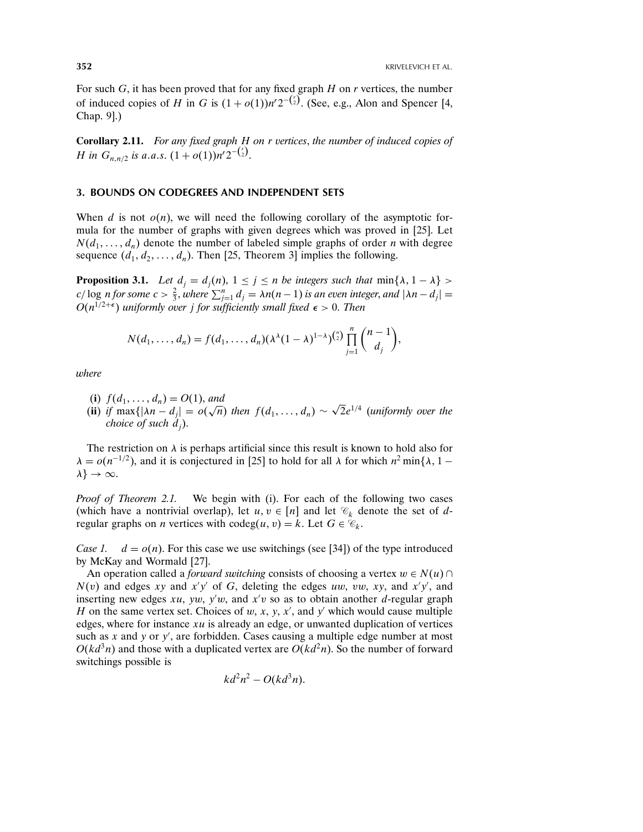For such  $G$ , it has been proved that for any fixed graph  $H$  on  $r$  vertices, the number of induced copies of H in G is  $(1 + o(1))n^r2^{-\binom{r}{2}}$ . (See, e.g., Alon and Spencer [4, Chap. 9].)

Corollary 2.11. For any fixed graph H on r vertices, the number of induced copies of *H* in  $G_{n,n/2}$  is a.a.s.  $(1 + o(1))n^r 2^{-\binom{r}{2}}$ .

### 3. BOUNDS ON CODEGREES AND INDEPENDENT SETS

When d is not  $o(n)$ , we will need the following corollary of the asymptotic formula for the number of graphs with given degrees which was proved in [25]. Let  $N(d_1, \ldots, d_n)$  denote the number of labeled simple graphs of order *n* with degree sequence  $(d_1, d_2, \ldots, d_n)$ . Then [25, Theorem 3] implies the following.

**Proposition 3.1.** Let  $d_j = d_j(n)$ ,  $1 \leq j \leq n$  be integers such that  $\min\{\lambda, 1 - \lambda\}$ c/ log n for some  $c > \frac{2}{3}$ , where  $\sum_{j=1}^{n} d_j = \lambda n(n-1)$  is an even integer, and  $|\lambda n - d_j| =$  $O(n^{1/2+\epsilon})$  uniformly over j for sufficiently small fixed  $\epsilon > 0$ . Then

$$
N(d_1,\ldots,d_n)=f(d_1,\ldots,d_n)(\lambda^{\lambda}(1-\lambda)^{1-\lambda})^{n \choose 2}\prod_{j=1}^n\binom{n-1}{d_j},
$$

where

(i)  $f(d_1, ..., d_n) = O(1)$ , and

(ii) if  $\max\{|\lambda n - d_j| = o(\sqrt{n})\}$  then  $f(d_1, ..., d_n) \sim \sqrt{2}e^{1/4}$  (uniformly over the choice of such  $d_i$ ).

The restriction on  $\lambda$  is perhaps artificial since this result is known to hold also for  $\lambda = o(n^{-1/2})$ , and it is conjectured in [25] to hold for all  $\lambda$  for which  $n^2 \min{\lambda}$ , 1 –  $\lambda$ }  $\rightarrow \infty$ .

Proof of Theorem 2.1. We begin with (i). For each of the following two cases (which have a nontrivial overlap), let  $u, v \in [n]$  and let  $\mathcal{C}_k$  denote the set of dregular graphs on *n* vertices with  $\text{codeg}(u, v) = k$ . Let  $G \in \mathcal{C}_k$ .

Case 1.  $d = o(n)$ . For this case we use switchings (see [34]) of the type introduced by McKay and Wormald [27].

An operation called a *forward switching* consists of choosing a vertex  $w \in N(u) \cap$  $N(v)$  and edges xy and x'y' of G, deleting the edges uw, vw, xy, and x'y', and inserting new edges  $xu$ ,  $yw$ ,  $y'w$ , and  $x'v$  so as to obtain another d-regular graph H on the same vertex set. Choices of  $w, x, y, x'$ , and  $y'$  which would cause multiple edges, where for instance  $xu$  is already an edge, or unwanted duplication of vertices such as x and y or y , are forbidden. Cases causing a multiple edge number at most  $O(kd^3n)$  and those with a duplicated vertex are  $O(kd^2n)$ . So the number of forward switchings possible is

$$
kd^2n^2 - O(kd^3n).
$$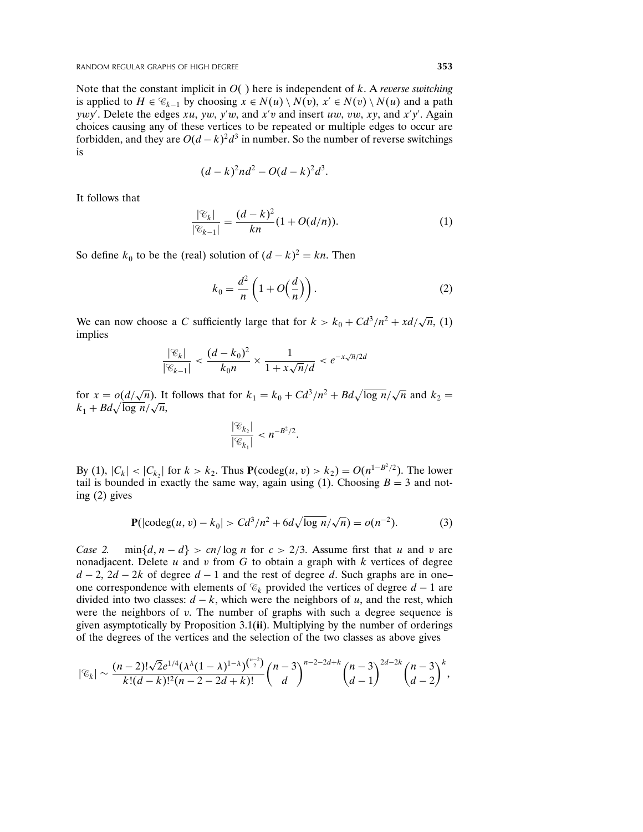Note that the constant implicit in  $O($  ) here is independent of k. A reverse switching is applied to  $H \in \mathcal{C}_{k-1}$  by choosing  $x \in N(u) \setminus N(v)$ ,  $x' \in N(v) \setminus N(u)$  and a path ywy'. Delete the edges xu, yw, y'w, and x'v and insert uw, vw, xy, and x'y'. Again choices causing any of these vertices to be repeated or multiple edges to occur are forbidden, and they are  $O(d-k)^2d^3$  in number. So the number of reverse switchings is

$$
(d-k)^2nd^2 - O(d-k)^2d^3.
$$

It follows that

$$
\frac{|\mathcal{C}_k|}{|\mathcal{C}_{k-1}|} = \frac{(d-k)^2}{kn} (1 + O(d/n)).
$$
 (1)

So define  $k_0$  to be the (real) solution of  $(d - k)^2 = kn$ . Then

$$
k_0 = \frac{d^2}{n} \left( 1 + O\left(\frac{d}{n}\right) \right). \tag{2}
$$

We can now choose a C sufficiently large that for  $k > k_0 + C d^3/n^2 + x d/\sqrt{n}$ , (1) implies

$$
\frac{|\mathcal{C}_k|}{|\mathcal{C}_{k-1}|} < \frac{(d-k_0)^2}{k_0 n} \times \frac{1}{1 + x\sqrt{n}/d} < e^{-x\sqrt{n}/2d}
$$

for  $x = o\left(\frac{d}{\sqrt{n}}\right)$ . It follows that for  $k_1 = k_0 + C\frac{d^3}{n^2} + B\frac{d}{\sqrt{\log n}}\left(\sqrt{n}\right)$  and  $k_2 =$  $k_1 + Bd\sqrt{\log n}/\sqrt{n},$ 

$$
\frac{|\mathscr{C}_{k_2}|}{|\mathscr{C}_{k_1}|} < n^{-B^2/2}.
$$

By (1),  $|C_k| < |C_{k_2}|$  for  $k > k_2$ . Thus  $P(\text{codeg}(u, v) > k_2) = O(n^{1-B^2/2})$ . The lower tail is bounded in exactly the same way, again using (1). Choosing  $B = 3$  and noting (2) gives

$$
\mathbf{P}(|\text{codeg}(u,v) - k_0| > \frac{C d^3}{n^2} + \frac{6d\sqrt{\log n}}{\sqrt{n}} = o(n^{-2}).\tag{3}
$$

Case 2. min $\{d, n - d\} > cn/\log n$  for  $c > 2/3$ . Assume first that u and v are nonadjacent. Delete  $u$  and  $v$  from  $G$  to obtain a graph with  $k$  vertices of degree  $d-2$ , 2d − 2k of degree d − 1 and the rest of degree d. Such graphs are in one– one correspondence with elements of  $\mathcal{C}_k$  provided the vertices of degree  $d-1$  are divided into two classes:  $d - k$ , which were the neighbors of u, and the rest, which were the neighbors of  $v$ . The number of graphs with such a degree sequence is given asymptotically by Proposition 3.1(ii). Multiplying by the number of orderings of the degrees of the vertices and the selection of the two classes as above gives

$$
|\mathcal{C}_k| \sim \frac{(n-2)! \sqrt{2} e^{1/4} (\lambda^{\lambda} (1-\lambda)^{1-\lambda})^{{n-2 \choose 2}}}{k! (d-k)!^2 (n-2-2d+k)!} {n-3 \choose d}^{n-2-2d+k} {n-3 \choose d-1}^{2d-2k} {n-3 \choose d-2}^k,
$$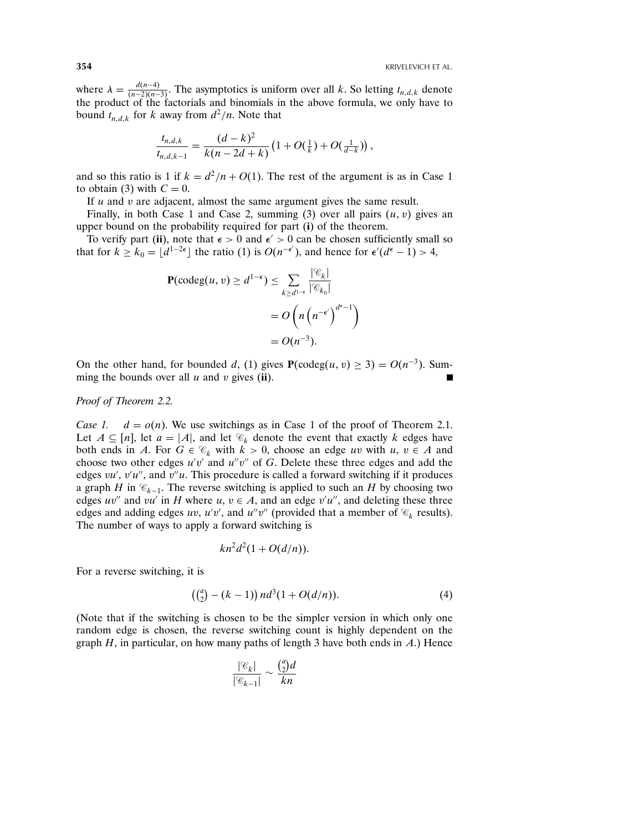where  $\lambda = \frac{d(n-4)}{(n-2)(n-4)}$ where  $\lambda = \frac{u(n-4)}{(n-2)(n-3)}$ . The asymptotics is uniform over all k. So letting  $t_{n,d,k}$  denote the product of the factorials and binomials in the above formula, we only have to bound  $t_{n,d,k}$  for k away from  $d^2/n$ . Note that

$$
\frac{t_{n,d,k}}{t_{n,d,k-1}} = \frac{(d-k)^2}{k(n-2d+k)} \left(1 + O(\tfrac{1}{k}) + O(\tfrac{1}{d-k})\right),
$$

and so this ratio is 1 if  $k = d^2/n + O(1)$ . The rest of the argument is as in Case 1 to obtain (3) with  $C = 0$ .

If  $u$  and  $v$  are adjacent, almost the same argument gives the same result.

Finally, in both Case 1 and Case 2, summing  $(3)$  over all pairs  $(u, v)$  gives an upper bound on the probability required for part (i) of the theorem.

To verify part (ii), note that  $\epsilon > 0$  and  $\epsilon' > 0$  can be chosen sufficiently small so that for  $k \ge k_0 = \lfloor d^{1-2\epsilon} \rfloor$  the ratio (1) is  $O(n^{-\epsilon'})$ , and hence for  $\epsilon'(d^{\epsilon}-1) > 4$ ,

$$
\mathbf{P}(\text{codeg}(u, v) \ge d^{1-\epsilon}) \le \sum_{k \ge d^{1-\epsilon}} \frac{|\mathcal{C}_k|}{|\mathcal{C}_{k_0}|}
$$

$$
= O\left(n\left(n^{-\epsilon'}\right)^{d^{\epsilon}-1}\right)
$$

$$
= O(n^{-3}).
$$

On the other hand, for bounded d, (1) gives  $P(\text{codeg}(u, v) \ge 3) = O(n^{-3})$ . Summing the bounds over all  $u$  and  $v$  gives (ii).

### Proof of Theorem 2.2.

Case 1.  $d = o(n)$ . We use switchings as in Case 1 of the proof of Theorem 2.1. Let  $A \subseteq [n]$ , let  $a = |A|$ , and let  $\mathcal{C}_k$  denote the event that exactly k edges have both ends in A. For  $G \in \mathcal{C}_k$  with  $k > 0$ , choose an edge uv with  $u, v \in A$  and choose two other edges  $u'v'$  and  $u''v''$  of G. Delete these three edges and add the edges  $vu', v'u'',$  and  $v''u$ . This procedure is called a forward switching if it produces a graph H in  $\mathcal{C}_{k-1}$ . The reverse switching is applied to such an H by choosing two edges uv" and vu' in H where u,  $v \in A$ , and an edge v'u", and deleting these three edges and adding edges uv, u'v', and u''v'' (provided that a member of  $\mathcal{C}_k$  results). The number of ways to apply a forward switching is

$$
kn^2d^2(1+O(d/n)).
$$

For a reverse switching, it is

$$
((_{2}^{a}) - (k - 1)) n d^{3} (1 + O(d/n)). \tag{4}
$$

(Note that if the switching is chosen to be the simpler version in which only one random edge is chosen, the reverse switching count is highly dependent on the graph  $H$ , in particular, on how many paths of length 3 have both ends in  $A$ .) Hence

$$
\frac{|\mathcal{C}_k|}{|\mathcal{C}_{k-1}|} \sim \frac{\binom{a}{2}d}{kn}
$$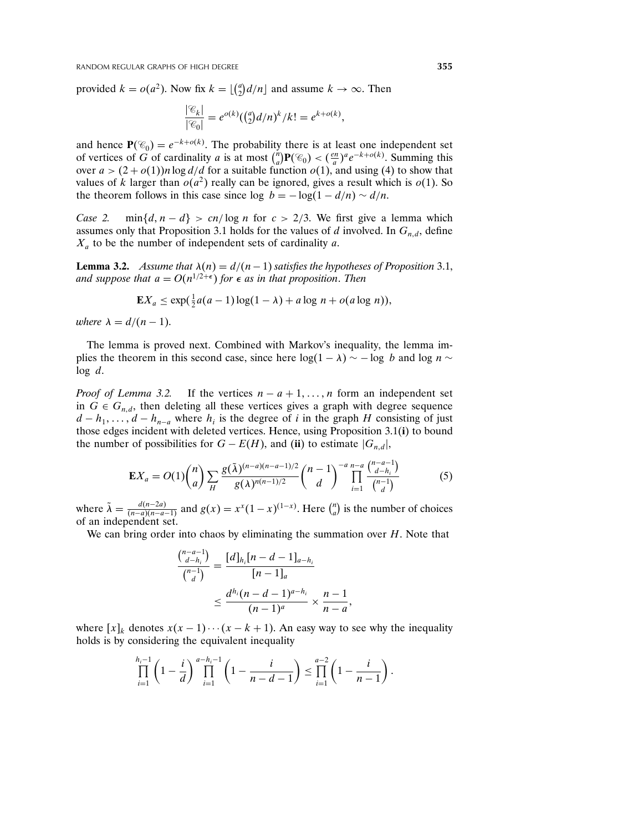provided  $k = o(a^2)$ . Now fix  $k = \lfloor \binom{a}{2} d/n \rfloor$  and assume  $k \to \infty$ . Then

$$
\frac{|\mathcal{C}_k|}{|\mathcal{C}_0|} = e^{o(k)} \left( \binom{a}{2} d/n \right)^k / k! = e^{k+o(k)},
$$

and hence  $P(\mathcal{C}_0) = e^{-k+o(k)}$ . The probability there is at least one independent set of vertices of G of cardinality a is at most  $\binom{n}{a} \mathbf{P}(\mathcal{C}_0) < \left(\frac{en}{a}\right)^a e^{-k+o(k)}$ . Summing this over  $a > (2+o(1))n \log d/d$  for a suitable function  $o(1)$ , and using (4) to show that values of k larger than  $o(a^2)$  really can be ignored, gives a result which is  $o(1)$ . So the theorem follows in this case since  $\log b = -\log(1 - d/n) \sim d/n$ .

Case 2. min $\{d, n - d\} > cn/\log n$  for  $c > 2/3$ . We first give a lemma which assumes only that Proposition 3.1 holds for the values of d involved. In  $G_{n,d}$ , define  $X_a$  to be the number of independent sets of cardinality a.

**Lemma 3.2.** Assume that  $\lambda(n) = d/(n-1)$  satisfies the hypotheses of Proposition 3.1, and suppose that  $a = O(n^{1/2+\epsilon})$  for  $\epsilon$  as in that proposition. Then

$$
\mathbf{E}X_a \le \exp(\tfrac{1}{2}a(a-1)\log(1-\lambda) + a\log n + o(a\log n)),
$$

where  $\lambda = d/(n-1)$ .

The lemma is proved next. Combined with Markov's inequality, the lemma implies the theorem in this second case, since here  $log(1 - \lambda) \sim -log b$  and  $log n \sim$  $log d$ .

*Proof of Lemma 3.2.* If the vertices  $n - a + 1, \ldots, n$  form an independent set in  $G \in G_{n,d}$ , then deleting all these vertices gives a graph with degree sequence  $d - h_1, \ldots, d - h_{n-a}$  where  $h_i$  is the degree of i in the graph H consisting of just those edges incident with deleted vertices. Hence, using Proposition 3.1(i) to bound the number of possibilities for  $G - E(H)$ , and (ii) to estimate  $|G_{n,d}|$ ,

$$
\mathbf{E}X_a = O(1) \binom{n}{a} \sum_H \frac{g(\tilde{\lambda})^{(n-a)(n-a-1)/2}}{g(\lambda)^{n(n-1)/2}} \binom{n-1}{d}^{-a} \prod_{i=1}^{n-a} \frac{\binom{n-a-1}{d-h_i}}{\binom{n-1}{d}}
$$
(5)

 $\overline{\phantom{a}}$ 

where  $\tilde{\lambda} = \frac{d(n-2a)}{(n-a)(n-a)}$  $\frac{d(n-2a)}{(n-a)(n-a-1)}$  and  $g(x) = x^x(1-x)^{(1-x)}$ . Here  $\binom{n}{a}$  is the number of choices of an independent set.

We can bring order into chaos by eliminating the summation over  $H$ . Note that

$$
\frac{\binom{n-a-1}{d-h_i}}{\binom{n-1}{d}} = \frac{[d]_{h_i}[n-d-1]_{a-h_i}}{[n-1]_a}
$$

$$
\leq \frac{d^{h_i}(n-d-1)^{a-h_i}}{(n-1)^a} \times \frac{n-1}{n-a}
$$

where  $[x]_k$  denotes  $x(x-1)\cdots(x-k+1)$ . An easy way to see why the inequality holds is by considering the equivalent inequality

$$
\prod_{i=1}^{h_i-1} \left(1 - \frac{i}{d}\right)^{a-h_i-1} \prod_{i=1}^{h_i-1} \left(1 - \frac{i}{n-d-1}\right) \le \prod_{i=1}^{a-2} \left(1 - \frac{i}{n-1}\right).
$$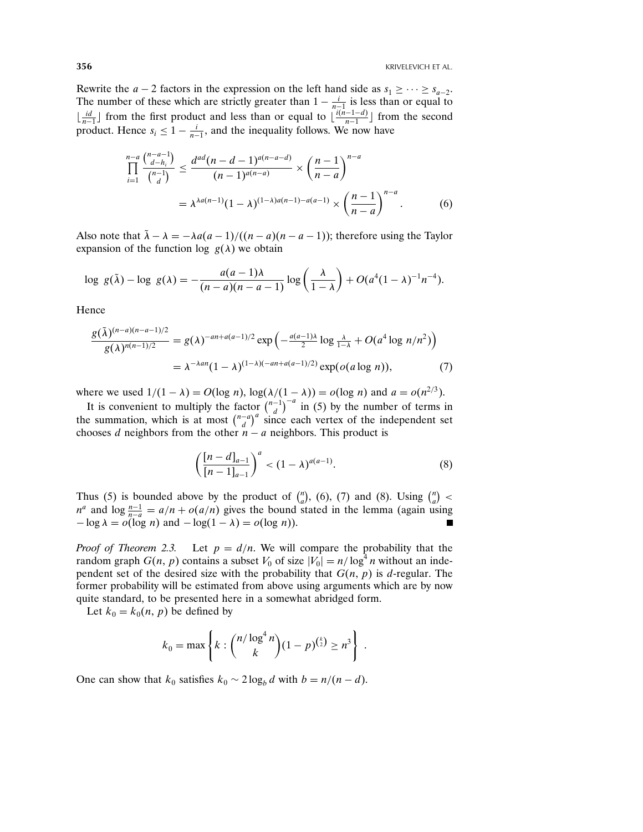Rewrite the  $a - 2$  factors in the expression on the left hand side as  $s_1 \geq \cdots \geq s_{a-2}$ . The number of these which are strictly greater than  $1 - \frac{i}{n-1}$  is less than or equal to  $\lfloor \frac{id}{n-1} \rfloor$  from the first product and less than or equal to  $\lfloor \frac{i(n-1-d)}{n-1} \rfloor$  from the second product. Hence  $s_i \leq 1 - \frac{i}{n-1}$ , and the inequality follows. We now have

$$
\prod_{i=1}^{n-a} \frac{\binom{n-a-1}{d-h_i}}{\binom{n-1}{d}} \le \frac{d^{ad}(n-d-1)^{a(n-a-d)}}{(n-1)^{a(n-a)}} \times \left(\frac{n-1}{n-a}\right)^{n-a}
$$
\n
$$
= \lambda^{\lambda a(n-1)} (1-\lambda)^{(1-\lambda)a(n-1)-a(a-1)} \times \left(\frac{n-1}{n-a}\right)^{n-a}.\tag{6}
$$

Also note that  $\lambda - \lambda = -\lambda a(a-1)/((n-a)(n-a-1))$ ; therefore using the Taylor expansion of the function log  $g(\lambda)$  we obtain

$$
\log\ g(\tilde{\lambda}) - \log\ g(\lambda) = -\frac{a(a-1)\lambda}{(n-a)(n-a-1)}\log\left(\frac{\lambda}{1-\lambda}\right) + O(a^4(1-\lambda)^{-1}n^{-4}).
$$

Hence

$$
\frac{g(\tilde{\lambda})^{(n-a)(n-a-1)/2}}{g(\lambda)^{n(n-1)/2}} = g(\lambda)^{-an+a(a-1)/2} \exp\left(-\frac{a(a-1)\lambda}{2}\log\frac{\lambda}{1-\lambda} + O(a^4\log n/n^2)\right)
$$

$$
= \lambda^{-\lambda a n} (1-\lambda)^{(1-\lambda)(-an+a(a-1)/2)} \exp(o(a\log n)), \tag{7}
$$

where we used  $1/(1 - \lambda) = O(\log n)$ ,  $\log(\lambda/(1 - \lambda)) = o(\log n)$  and  $a = o(n^{2/3})$ .

It is convenient to multiply the factor  $\binom{n-1}{d}$  in (5) by the number of terms in the summation, which is at most  $\binom{n-a}{d}^a$  since each vertex of the independent set chooses d neighbors from the other  $n - a$  neighbors. This product is

$$
\left(\frac{[n-d]_{a-1}}{[n-1]_{a-1}}\right)^a < (1-\lambda)^{a(a-1)}.\tag{8}
$$

Thus (5) is bounded above by the product of  $\binom{n}{a}$ , (6), (7) and (8). Using  $\binom{n}{a}$  <  $n^a$  and  $\log \frac{n-1}{n-a} = a/n + o(a/n)$  gives the bound stated in the lemma (again using  $-\log \lambda = o(\log n)$  and  $-\log(1 - \lambda) = o(\log n)$ ).

*Proof of Theorem 2.3.* Let  $p = d/n$ . We will compare the probability that the random graph  $G(n, p)$  contains a subset  $V_0$  of size  $|V_0| = n/\log^4 n$  without an independent set of the desired size with the probability that  $G(n, p)$  is d-regular. The former probability will be estimated from above using arguments which are by now quite standard, to be presented here in a somewhat abridged form.

Let  $k_0 = k_0(n, p)$  be defined by

$$
k_0 = \max \left\{ k : {n/\log^4 n \choose k} (1-p)^{{k \choose 2}} \ge n^3 \right\}.
$$

One can show that  $k_0$  satisfies  $k_0 \sim 2 \log_b d$  with  $b = n/(n-d)$ .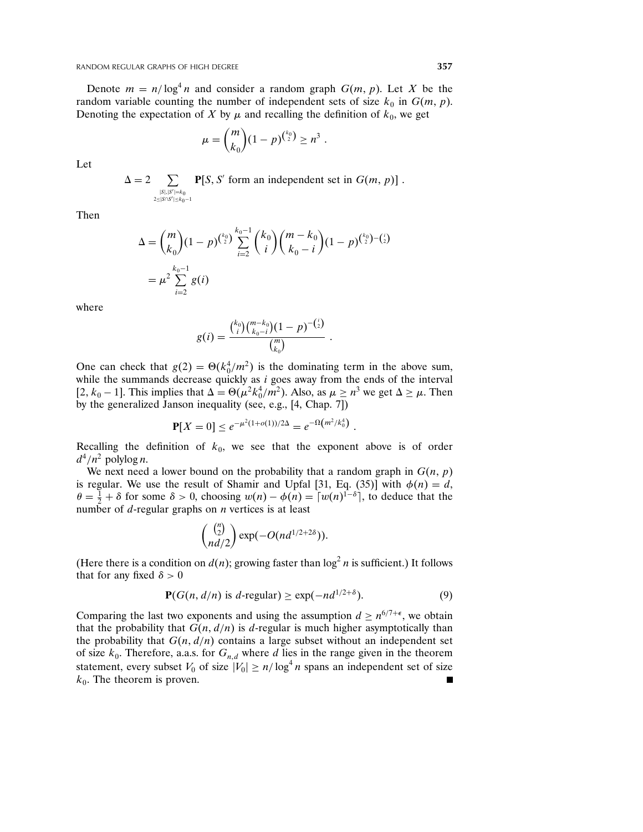Denote  $m = n/\log^4 n$  and consider a random graph  $G(m, p)$ . Let X be the random variable counting the number of independent sets of size  $k_0$  in  $G(m, p)$ . Denoting the expectation of X by  $\mu$  and recalling the definition of  $k_0$ , we get

$$
\mu = {m \choose k_0} (1-p)^{{k_0 \choose 2}} \ge n^3.
$$

Let

 $\Delta = 2$   $\sum$  $\sum_{|S|, |S'|=k_0}$  **P**[*S*, *S'* form an independent set in *G*(*m*, *p*)].  $2 < |S \cap S'| \leq k_0 - 1$ 

Then

$$
\Delta = {m \choose k_0} (1-p)^{{k_0 \choose 2}} \sum_{i=2}^{k_0-1} {k_0 \choose i} {m-k_0 \choose k_0-i} (1-p)^{{k_0 \choose 2} - {i \choose 2}}
$$
  
=  $\mu^2 \sum_{i=2}^{k_0-1} g(i)$ 

where

$$
g(i) = \frac{\binom{k_0}{i}\binom{m-k_0}{k_0-i}(1-p)^{-\binom{i}{2}}}{\binom{m}{k_0}}.
$$

One can check that  $g(2) = \Theta(k_0^4/m^2)$  is the dominating term in the above sum, while the summands decrease quickly as  $i$  goes away from the ends of the interval [2,  $k_0 - 1$ ]. This implies that  $\Delta = \Theta(\mu^2 k_0^4 / m^2)$ . Also, as  $\mu \ge n^3$  we get  $\Delta \ge \mu$ . Then by the generalized Janson inequality (see, e.g., [4, Chap. 7])

$$
\mathbf{P}[X=0] \leq e^{-\mu^2(1+o(1))/2\Delta} = e^{-\Omega(m^2/k_0^4)}.
$$

Recalling the definition of  $k_0$ , we see that the exponent above is of order  $d^4/n^2$  polylog *n*.

We next need a lower bound on the probability that a random graph in  $G(n, p)$ is regular. We use the result of Shamir and Upfal [31, Eq. (35)] with  $\phi(n) = d$ ,  $\theta = \frac{1}{2} + \delta$  for some  $\delta > 0$ , choosing  $w(n) - \phi(n) = \left[w(n)^{1-\delta}\right]$ , to deduce that the number of  $d$ -regular graphs on  $n$  vertices is at least

$$
\binom{\binom{n}{2}}{nd/2}\exp(-O(nd^{1/2+2\delta})).
$$

(Here there is a condition on  $d(n)$ ; growing faster than  $\log^2 n$  is sufficient.) It follows that for any fixed  $\delta > 0$ 

$$
\mathbf{P}(G(n, d/n) \text{ is } d\text{-regular}) \ge \exp(-nd^{1/2+\delta}).\tag{9}
$$

Comparing the last two exponents and using the assumption  $d \geq n^{6/7+\epsilon}$ , we obtain that the probability that  $G(n, d/n)$  is d-regular is much higher asymptotically than the probability that  $G(n, d/n)$  contains a large subset without an independent set of size  $k_0$ . Therefore, a.a.s. for  $G_{n,d}$  where d lies in the range given in the theorem statement, every subset  $V_0$  of size  $|V_0| \ge n/\log^4 n$  spans an independent set of size  $k_0$ . The theorem is proven.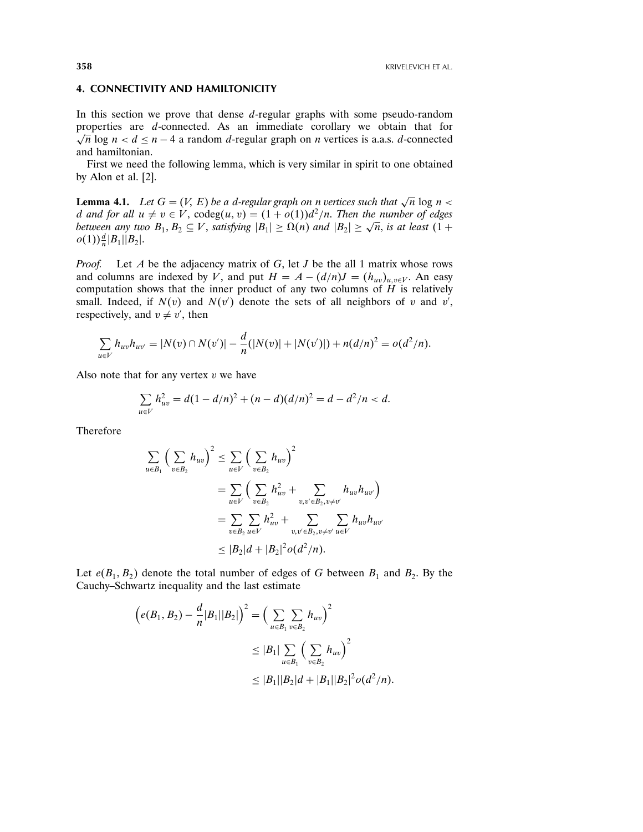## 4. CONNECTIVITY AND HAMILTONICITY

In this section we prove that dense d-regular graphs with some pseudo-random properties are d-connected. As an immediate corollary we obtain that for  $\sqrt{n} \log n < d \leq n - 4$  a random d-regular graph on *n* vertices is a.a.s. d-connected and hamiltonian.

First we need the following lemma, which is very similar in spirit to one obtained by Alon et al. [2].

**Lemma 4.1.** Let  $G = (V, E)$  be a d-regular graph on n vertices such that  $\sqrt{n} \log n <$ d and for all  $u \neq v \in V$ ,  $\text{codeg}(u, v) = (1 + o(1))d^2/n$ . Then the number of edges between any two  $B_1, B_2 \subseteq V$ , satisfying  $|B_1| \ge \Omega(n)$  and  $|B_2| \ge \sqrt{n}$ , is at least  $(1 +$  $o(1)) \frac{d}{n} |B_1| |B_2|$ .

*Proof.* Let A be the adjacency matrix of G, let J be the all 1 matrix whose rows and columns are indexed by V, and put  $H = A - (d/n)J = (h_{uv})_{u,v \in V}$ . An easy computation shows that the inner product of any two columns of  $H$  is relatively small. Indeed, if  $N(v)$  and  $N(v')$  denote the sets of all neighbors of v and v', respectively, and  $v \neq v'$ , then

$$
\sum_{u \in V} h_{uv} h_{uv'} = |N(v) \cap N(v')| - \frac{d}{n}(|N(v)| + |N(v')|) + n(d/n)^2 = o(d^2/n).
$$

Also note that for any vertex  $v$  we have

$$
\sum_{u \in V} h_{uv}^2 = d(1 - d/n)^2 + (n - d)(d/n)^2 = d - d^2/n < d.
$$

Therefore

$$
\sum_{u \in B_1} \left( \sum_{v \in B_2} h_{uv} \right)^2 \le \sum_{u \in V} \left( \sum_{v \in B_2} h_{uv} \right)^2
$$
  
= 
$$
\sum_{u \in V} \left( \sum_{v \in B_2} h_{uv}^2 + \sum_{v, v' \in B_2, v \neq v'} h_{uv} h_{uv'} \right)
$$
  
= 
$$
\sum_{v \in B_2} \sum_{u \in V} h_{uv}^2 + \sum_{v, v' \in B_2, v \neq v'} \sum_{u \in V} h_{uv} h_{uv'}
$$
  

$$
\le |B_2|d + |B_2|^2 o(d^2/n).
$$

Let  $e(B_1, B_2)$  denote the total number of edges of G between  $B_1$  and  $B_2$ . By the Cauchy–Schwartz inequality and the last estimate

$$
\begin{aligned} \left(e(B_1, B_2) - \frac{d}{n}|B_1||B_2|\right)^2 &= \left(\sum_{u \in B_1} \sum_{v \in B_2} h_{uv}\right)^2\\ &\le |B_1| \sum_{u \in B_1} \left(\sum_{v \in B_2} h_{uv}\right)^2\\ &\le |B_1||B_2|d + |B_1||B_2|^2 o(d^2/n). \end{aligned}
$$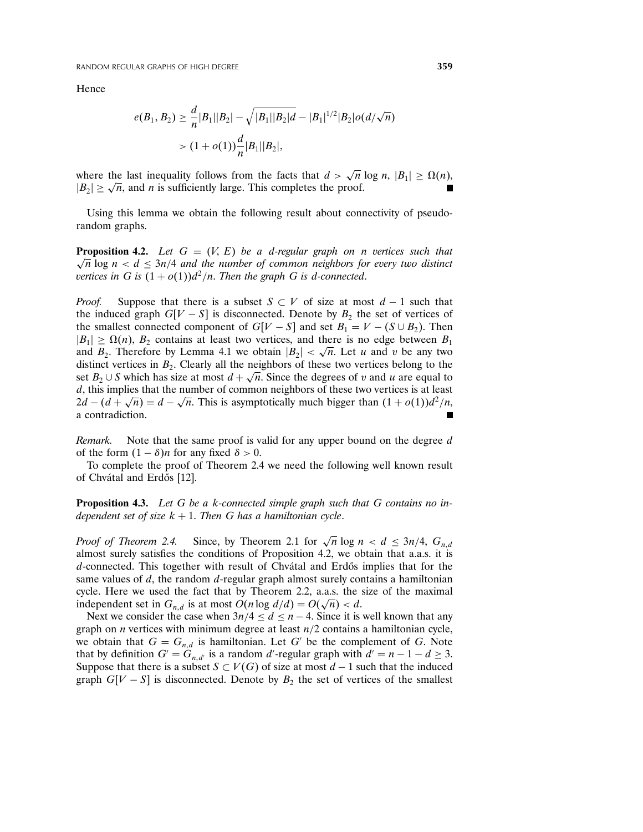**Hence** 

$$
e(B_1, B_2) \ge \frac{d}{n} |B_1||B_2| - \sqrt{|B_1||B_2|} \frac{d}{dt} - |B_1|^{1/2} |B_2| o(d/\sqrt{n})
$$
  
> 
$$
(1 + o(1)) \frac{d}{n} |B_1||B_2|,
$$

where the last inequality follows from the facts that  $d > \sqrt{n} \log n$ ,  $|B_1| \ge \Omega(n)$ ,  $|B_2| \geq \sqrt{n}$ , and *n* is sufficiently large. This completes the proof.

Using this lemma we obtain the following result about connectivity of pseudorandom graphs.

**Proposition 4.2.** Let  $G = (V, E)$  be a d-regular graph on n vertices such that  $\sqrt{n}$  log  $n < d \leq 3n/4$  and the number of common neighbors for every two distinct vertices in G is  $(1 + o(1))d^2/n$ . Then the graph G is d-connected.

*Proof.* Suppose that there is a subset  $S \subset V$  of size at most  $d-1$  such that the induced graph  $G[V - S]$  is disconnected. Denote by  $B_2$  the set of vertices of the smallest connected component of  $G[V - S]$  and set  $B_1 = V - (S \cup B_2)$ . Then  $|B_1| \ge \Omega(n)$ ,  $B_2$  contains at least two vertices, and there is no edge between  $B_1$ and  $B_2$ . Therefore by Lemma 4.1 we obtain  $|B_2| < \sqrt{n}$ . Let u and v be any two distinct vertices in  $B_2$ . Clearly all the neighbors of these two vertices belong to the set  $B_2 \cup S$  which has size at most  $d + \sqrt{n}$ . Since the degrees of v and u are equal to d, this implies that the number of common neighbors of these two vertices is at least  $2d - (d + \sqrt{n}) = d - \sqrt{n}$ . This is asymptotically much bigger than  $(1 + o(1))d^2/n$ , a contradiction.

Remark. Note that the same proof is valid for any upper bound on the degree d of the form  $(1 - \delta)n$  for any fixed  $\delta > 0$ .

To complete the proof of Theorem 2.4 we need the following well known result of Chvátal and Erdős [12].

**Proposition 4.3.** Let G be a k-connected simple graph such that G contains no independent set of size  $k + 1$ . Then G has a hamiltonian cycle.

*Proof of Theorem 2.4.* Since, by Theorem 2.1 for  $\sqrt{n} \log n < d \leq 3n/4$ ,  $G_{n,d}$ almost surely satisfies the conditions of Proposition 4.2, we obtain that a.a.s. it is  $d$ -connected. This together with result of Chvátal and Erdős implies that for the same values of  $d$ , the random  $d$ -regular graph almost surely contains a hamiltonian cycle. Here we used the fact that by Theorem 2.2, a.a.s. the size of the maximal independent set in  $G_{n,d}$  is at most  $O(n \log d/d) = O(\sqrt{n}) < d$ .

Next we consider the case when  $3n/4 \le d \le n-4$ . Since it is well known that any graph on *n* vertices with minimum degree at least  $n/2$  contains a hamiltonian cycle, we obtain that  $G = G_{n,d}$  is hamiltonian. Let G' be the complement of G. Note that by definition  $G' = G_{n,d'}$  is a random d'-regular graph with  $d' = n - 1 - d \ge 3$ . Suppose that there is a subset  $S \subset V(G)$  of size at most  $d-1$  such that the induced graph  $G[V - S]$  is disconnected. Denote by  $B_2$  the set of vertices of the smallest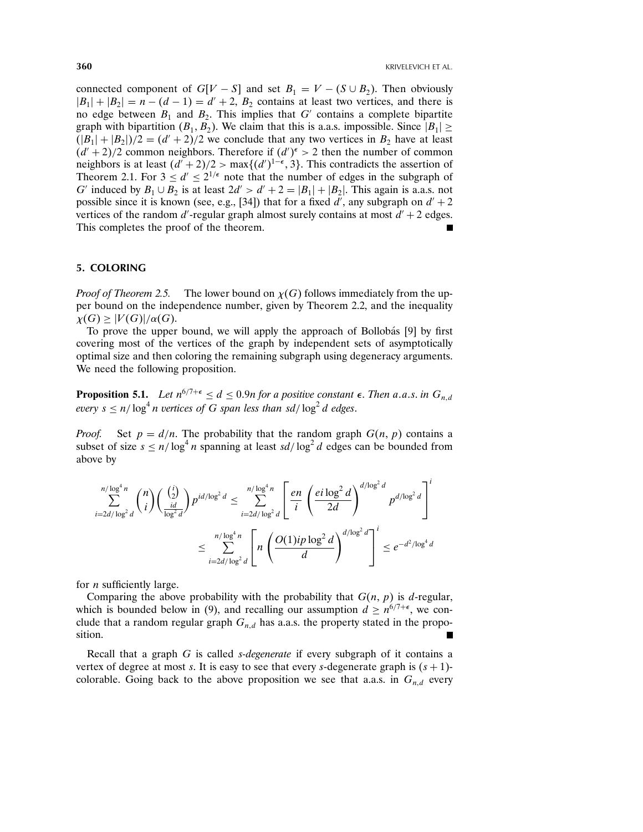connected component of  $G[V - S]$  and set  $B_1 = V - (S \cup B_2)$ . Then obviously  $|B_1| + |B_2| = n - (d - 1) = d' + 2$ ,  $B_2$  contains at least two vertices, and there is no edge between  $B_1$  and  $B_2$ . This implies that G' contains a complete bipartite graph with bipartition  $(B_1, B_2)$ . We claim that this is a.a.s. impossible. Since  $|B_1| \ge$  $(|B_1|+|B_2|)/2 = (d'+2)/2$  we conclude that any two vertices in  $B_2$  have at least  $(d' + 2)/2$  common neighbors. Therefore if  $(d')^{\epsilon} > 2$  then the number of common neighbors is at least  $(d' + 2)/2 > \max\{(d')^{1-\epsilon}, 3\}$ . This contradicts the assertion of Theorem 2.1. For  $3 \le d' \le 2^{1/\epsilon}$  note that the number of edges in the subgraph of G' induced by  $B_1 \cup B_2$  is at least  $2d' > d' + 2 = |B_1| + |B_2|$ . This again is a.a.s. not possible since it is known (see, e.g., [34]) that for a fixed  $d'$ , any subgraph on  $d' + 2$ vertices of the random  $d'$ -regular graph almost surely contains at most  $d' + 2$  edges. This completes the proof of the theorem.

## 5. COLORING

*Proof of Theorem 2.5.* The lower bound on  $\chi(G)$  follows immediately from the upper bound on the independence number, given by Theorem 2.2, and the inequality  $\chi(G) \geq |V(G)|/\alpha(G).$ 

To prove the upper bound, we will apply the approach of Bollob´as [9] by first covering most of the vertices of the graph by independent sets of asymptotically optimal size and then coloring the remaining subgraph using degeneracy arguments. We need the following proposition.

**Proposition 5.1.** Let  $n^{6/7+\epsilon} \leq d \leq 0.9n$  for a positive constant  $\epsilon$ . Then a.a.s. in  $G_{n,d}$ every  $s \le n/\log^4 n$  vertices of G span less than sd/ $\log^2 d$  edges.

*Proof.* Set  $p = d/n$ . The probability that the random graph  $G(n, p)$  contains a subset of size  $s \le n/\log^4 n$  spanning at least  $sd/\log^2 d$  edges can be bounded from above by

$$
\sum_{i=2d/\log^2 d}^{n/\log^4 n} \binom{n}{i} \left(\frac{\binom{i}{2}}{\frac{id}{\log^2 d}}\right) p^{id/\log^2 d} \le \sum_{i=2d/\log^2 d}^{n/\log^4 n} \left[ \frac{en}{i} \left(\frac{ei \log^2 d}{2d}\right)^{d/\log^2 d} p^{d/\log^2 d} \right]^i
$$
  

$$
\le \sum_{i=2d/\log^2 d}^{n/\log^4 n} \left[ n \left(\frac{O(1)ip \log^2 d}{d}\right)^{d/\log^2 d} \right]^i \le e^{-d^2/\log^4 d}
$$

for *n* sufficiently large.

Comparing the above probability with the probability that  $G(n, p)$  is d-regular, which is bounded below in (9), and recalling our assumption  $d \ge n^{6/7+\epsilon}$ , we conclude that a random regular graph  $G_{n,d}$  has a.a.s. the property stated in the proposition.

Recall that a graph  $G$  is called *s-degenerate* if every subgraph of it contains a vertex of degree at most s. It is easy to see that every s-degenerate graph is  $(s + 1)$ colorable. Going back to the above proposition we see that a.a.s. in  $G_{n,d}$  every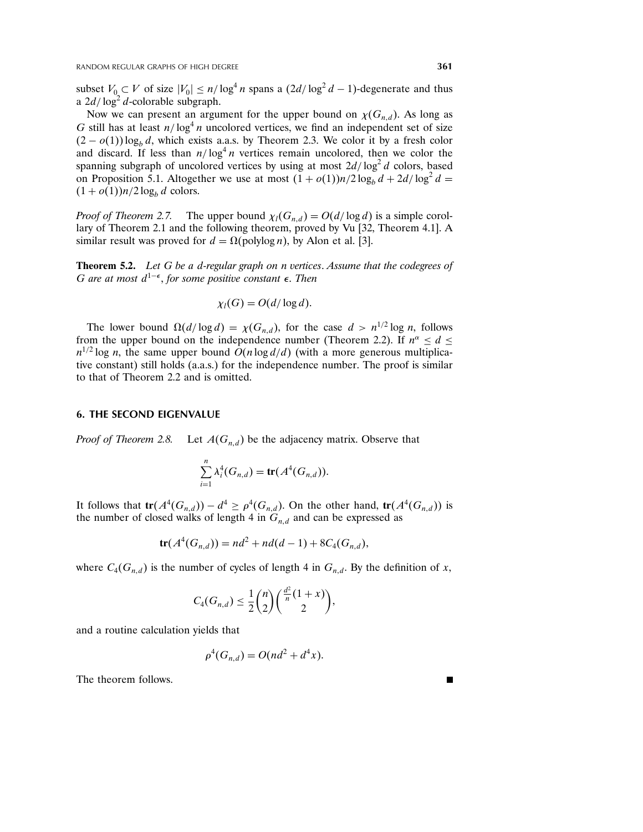subset  $V_0 \subset V$  of size  $|V_0| \le n/\log^4 n$  spans a  $(2d/\log^2 d - 1)$ -degenerate and thus a  $2d/\log^2 d$ -colorable subgraph.

Now we can present an argument for the upper bound on  $\chi(G_{n,d})$ . As long as G still has at least  $n/\log^4 n$  uncolored vertices, we find an independent set of size  $(2 - o(1)) \log_b d$ , which exists a.a.s. by Theorem 2.3. We color it by a fresh color and discard. If less than  $n/\log^4 n$  vertices remain uncolored, then we color the spanning subgraph of uncolored vertices by using at most  $2d/\log^2 d$  colors, based on Proposition 5.1. Altogether we use at most  $(1 + o(1))n/2 \log_b d + 2d/\log^2 d =$  $(1+o(1))n/2\log_b d$  colors.

*Proof of Theorem 2.7.* The upper bound  $\chi_l(G_{n,d}) = O(d/\log d)$  is a simple corollary of Theorem 2.1 and the following theorem, proved by Vu [32, Theorem 4.1]. A similar result was proved for  $d = \Omega(\text{polylog } n)$ , by Alon et al. [3].

Theorem 5.2. Let G be a d-regular graph on n vertices. Assume that the codegrees of G are at most  $d^{1-\epsilon}$ , for some positive constant  $\epsilon$ . Then

$$
\chi_l(G) = O(d/\log d).
$$

The lower bound  $\Omega(d/\log d) = \chi(G_{n,d})$ , for the case  $d > n^{1/2} \log n$ , follows from the upper bound on the independence number (Theorem 2.2). If  $n^{\alpha} \le d \le$  $n^{1/2}$  log *n*, the same upper bound  $O(n \log d/d)$  (with a more generous multiplicative constant) still holds (a.a.s.) for the independence number. The proof is similar to that of Theorem 2.2 and is omitted.

#### 6. THE SECOND EIGENVALUE

Proof of Theorem 2.8. Let  $A(G_{n,d})$  be the adjacency matrix. Observe that

$$
\sum_{i=1}^n \lambda_i^4(G_{n,d}) = \mathbf{tr}(A^4(G_{n,d})).
$$

It follows that  $tr(A^4(G_{n,d})) - d^4 \geq \rho^4(G_{n,d})$ . On the other hand,  $tr(A^4(G_{n,d}))$  is the number of closed walks of length 4 in  $G_{n,d}$  and can be expressed as

$$
tr(A^4(G_{n,d})) = nd^2 + nd(d-1) + 8C_4(G_{n,d}),
$$

where  $C_4(G_{n,d})$  is the number of cycles of length 4 in  $G_{n,d}$ . By the definition of x,

$$
C_4(G_{n,d}) \leq \frac{1}{2} {n \choose 2} \binom{\frac{d^2}{n} (1+x)}{2},
$$

and a routine calculation yields that

$$
\rho^4(G_{n,d}) = O(nd^2 + d^4x).
$$

The theorem follows.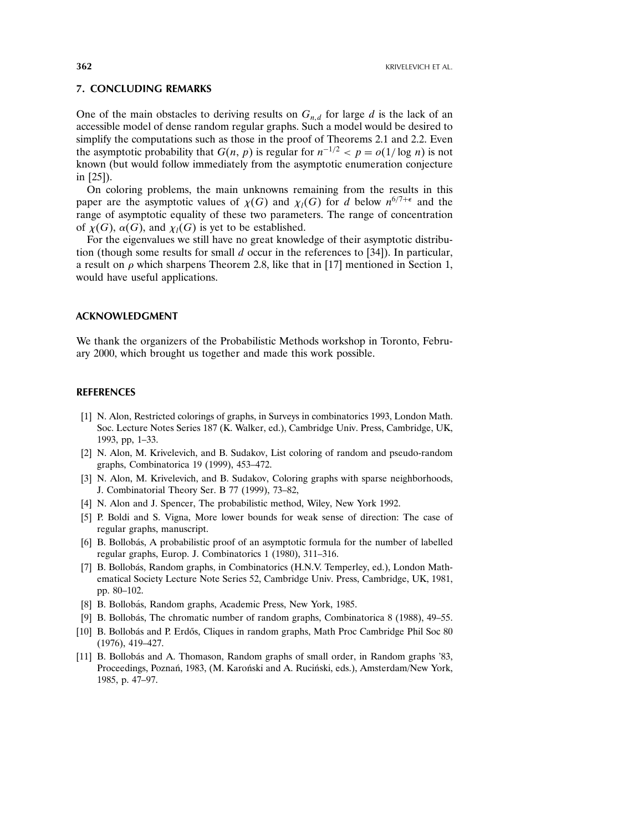## 7. CONCLUDING REMARKS

One of the main obstacles to deriving results on  $G_{n,d}$  for large d is the lack of an accessible model of dense random regular graphs. Such a model would be desired to simplify the computations such as those in the proof of Theorems 2.1 and 2.2. Even the asymptotic probability that  $G(n, p)$  is regular for  $n^{-1/2} < p = o(1/\log n)$  is not known (but would follow immediately from the asymptotic enumeration conjecture in [25]).

On coloring problems, the main unknowns remaining from the results in this paper are the asymptotic values of  $\chi(G)$  and  $\chi_l(G)$  for d below  $n^{6/7+\epsilon}$  and the range of asymptotic equality of these two parameters. The range of concentration of  $\chi(G)$ ,  $\alpha(G)$ , and  $\chi_l(G)$  is yet to be established.

For the eigenvalues we still have no great knowledge of their asymptotic distribution (though some results for small  $d$  occur in the references to [34]). In particular, a result on  $\rho$  which sharpens Theorem 2.8, like that in [17] mentioned in Section 1, would have useful applications.

#### ACKNOWLEDGMENT

We thank the organizers of the Probabilistic Methods workshop in Toronto, February 2000, which brought us together and made this work possible.

## REFERENCES

- [1] N. Alon, Restricted colorings of graphs, in Surveys in combinatorics 1993, London Math. Soc. Lecture Notes Series 187 (K. Walker, ed.), Cambridge Univ. Press, Cambridge, UK, 1993, pp, 1–33.
- [2] N. Alon, M. Krivelevich, and B. Sudakov, List coloring of random and pseudo-random graphs, Combinatorica 19 (1999), 453–472.
- [3] N. Alon, M. Krivelevich, and B. Sudakov, Coloring graphs with sparse neighborhoods, J. Combinatorial Theory Ser. B 77 (1999), 73–82,
- [4] N. Alon and J. Spencer, The probabilistic method, Wiley, New York 1992.
- [5] P. Boldi and S. Vigna, More lower bounds for weak sense of direction: The case of regular graphs, manuscript.
- [6] B. Bollobás, A probabilistic proof of an asymptotic formula for the number of labelled regular graphs, Europ. J. Combinatorics 1 (1980), 311–316.
- [7] B. Bollobás, Random graphs, in Combinatorics (H.N.V. Temperley, ed.), London Mathematical Society Lecture Note Series 52, Cambridge Univ. Press, Cambridge, UK, 1981, pp. 80–102.
- [8] B. Bollobás, Random graphs, Academic Press, New York, 1985.
- [9] B. Bollobás, The chromatic number of random graphs, Combinatorica 8 (1988), 49–55.
- [10] B. Bollobás and P. Erdős, Cliques in random graphs, Math Proc Cambridge Phil Soc 80 (1976), 419–427.
- [11] B. Bollobás and A. Thomason, Random graphs of small order, in Random graphs '83, Proceedings, Poznań, 1983, (M. Karoński and A. Ruciński, eds.), Amsterdam/New York, 1985, p. 47–97.